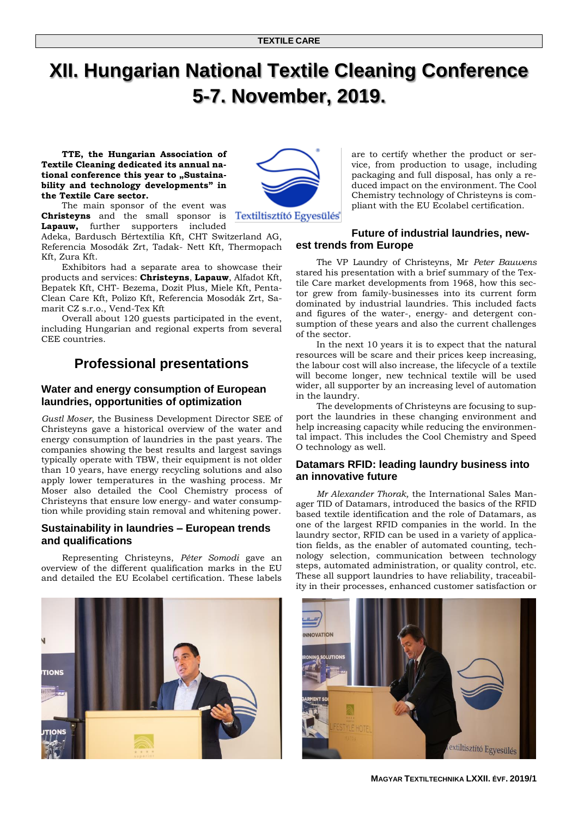# **XII. Hungarian National Textile Cleaning Conference 5-7. November, 2019.**

**TTE, the Hungarian Association of Textile Cleaning dedicated its annual na**tional conference this year to "Sustaina**bility and technology developments" in the Textile Care sector.** 



The main sponsor of the event was **Christeyns** and the small sponsor is **Textiltisztitó Egyesülés Lapauw,** further supporters included

Adeka, Bardusch Bértextília Kft, CHT Switzerland AG, Referencia Mosodák Zrt, Tadak- Nett Kft, Thermopach Kft, Zura Kft.

Exhibitors had a separate area to showcase their products and services: **Christeyns**, **Lapauw**, Alfadot Kft, Bepatek Kft, CHT- Bezema, Dozit Plus, Miele Kft, Penta-Clean Care Kft, Polizo Kft, Referencia Mosodák Zrt, Samarit CZ s.r.o., Vend-Tex Kft

Overall about 120 guests participated in the event, including Hungarian and regional experts from several CEE countries.

# **Professional presentations**

#### **Water and energy consumption of European laundries, opportunities of optimization**

*Gustl Moser*, the Business Development Director SEE of Christeyns gave a historical overview of the water and energy consumption of laundries in the past years. The companies showing the best results and largest savings typically operate with TBW, their equipment is not older than 10 years, have energy recycling solutions and also apply lower temperatures in the washing process. Mr Moser also detailed the Cool Chemistry process of Christeyns that ensure low energy- and water consumption while providing stain removal and whitening power.

# **Sustainability in laundries – European trends and qualifications**

Representing Christeyns, *Péter Somodi* gave an overview of the different qualification marks in the EU and detailed the EU Ecolabel certification. These labels

are to certify whether the product or service, from production to usage, including packaging and full disposal, has only a reduced impact on the environment. The Cool Chemistry technology of Christeyns is compliant with the EU Ecolabel certification.

# **Future of industrial laundries, newest trends from Europe**

The VP Laundry of Christeyns, Mr *Peter Bauwens*  stared his presentation with a brief summary of the Textile Care market developments from 1968, how this sector grew from family-businesses into its current form dominated by industrial laundries. This included facts and figures of the water-, energy- and detergent consumption of these years and also the current challenges of the sector.

In the next 10 years it is to expect that the natural resources will be scare and their prices keep increasing, the labour cost will also increase, the lifecycle of a textile will become longer, new technical textile will be used wider, all supporter by an increasing level of automation in the laundry.

The developments of Christeyns are focusing to support the laundries in these changing environment and help increasing capacity while reducing the environmental impact. This includes the Cool Chemistry and Speed O technology as well.

#### **Datamars RFID: leading laundry business into an innovative future**

*Mr Alexander Thorak,* the International Sales Manager TID of Datamars, introduced the basics of the RFID based textile identification and the role of Datamars, as one of the largest RFID companies in the world. In the laundry sector, RFID can be used in a variety of application fields, as the enabler of automated counting, technology selection, communication between technology steps, automated administration, or quality control, etc. These all support laundries to have reliability, traceability in their processes, enhanced customer satisfaction or





**MAGYAR TEXTILTECHNIKA LXXII. ÉVF. 2019/1**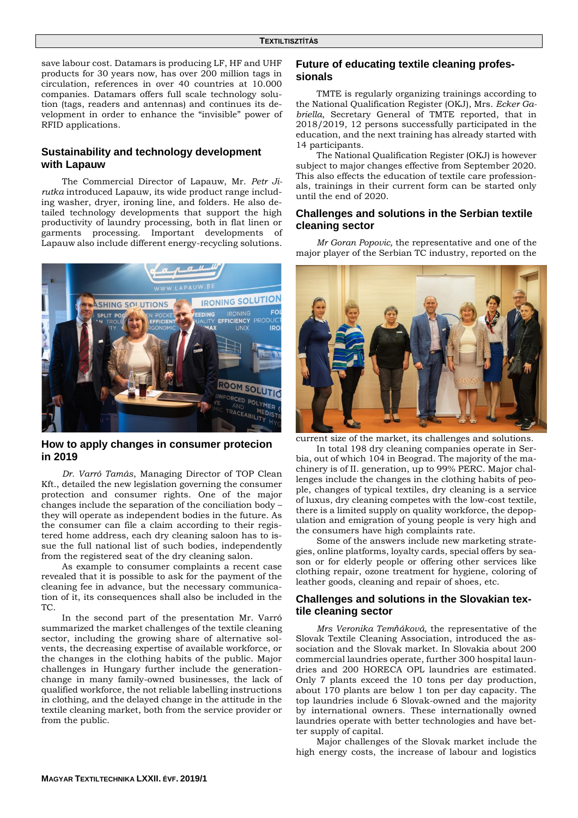save labour cost. Datamars is producing LF, HF and UHF products for 30 years now, has over 200 million tags in circulation, references in over 40 countries at 10.000 companies. Datamars offers full scale technology solution (tags, readers and antennas) and continues its development in order to enhance the "invisible" power of RFID applications.

## **Sustainability and technology development with Lapauw**

The Commercial Director of Lapauw, Mr. *Petr Jirutka* introduced Lapauw, its wide product range including washer, dryer, ironing line, and folders. He also detailed technology developments that support the high productivity of laundry processing, both in flat linen or garments processing. Important developments of Lapauw also include different energy-recycling solutions.



**How to apply changes in consumer protecion in 2019**

*Dr. Varró Tamás*, Managing Director of TOP Clean Kft., detailed the new legislation governing the consumer protection and consumer rights. One of the major changes include the separation of the conciliation body – they will operate as independent bodies in the future. As the consumer can file a claim according to their registered home address, each dry cleaning saloon has to issue the full national list of such bodies, independently from the registered seat of the dry cleaning salon.

As example to consumer complaints a recent case revealed that it is possible to ask for the payment of the cleaning fee in advance, but the necessary communication of it, its consequences shall also be included in the TC.

In the second part of the presentation Mr. Varró summarized the market challenges of the textile cleaning sector, including the growing share of alternative solvents, the decreasing expertise of available workforce, or the changes in the clothing habits of the public. Major challenges in Hungary further include the generationchange in many family-owned businesses, the lack of qualified workforce, the not reliable labelling instructions in clothing, and the delayed change in the attitude in the textile cleaning market, both from the service provider or from the public.

#### **Future of educating textile cleaning professionals**

TMTE is regularly organizing trainings according to the National Qualification Register (OKJ), Mrs. *Ecker Gabriella*, Secretary General of TMTE reported, that in 2018/2019, 12 persons successfully participated in the education, and the next training has already started with 14 participants.

The National Qualification Register (OKJ) is however subject to major changes effective from September 2020. This also effects the education of textile care professionals, trainings in their current form can be started only until the end of 2020.

## **Challenges and solutions in the Serbian textile cleaning sector**

*Mr Goran Popovic,* the representative and one of the major player of the Serbian TC industry, reported on the



current size of the market, its challenges and solutions.

In total 198 dry cleaning companies operate in Serbia, out of which 104 in Beograd. The majority of the machinery is of II. generation, up to 99% PERC. Major challenges include the changes in the clothing habits of people, changes of typical textiles, dry cleaning is a service of luxus, dry cleaning competes with the low-cost textile, there is a limited supply on quality workforce, the depopulation and emigration of young people is very high and the consumers have high complaints rate.

Some of the answers include new marketing strategies, online platforms, loyalty cards, special offers by season or for elderly people or offering other services like clothing repair, ozone treatment for hygiene, coloring of leather goods, cleaning and repair of shoes, etc.

#### **Challenges and solutions in the Slovakian textile cleaning sector**

*Mrs Veronika Temňáková,* the representative of the Slovak Textile Cleaning Association, introduced the association and the Slovak market. In Slovakia about 200 commercial laundries operate, further 300 hospital laundries and 200 HORECA OPL laundries are estimated. Only 7 plants exceed the 10 tons per day production, about 170 plants are below 1 ton per day capacity. The top laundries include 6 Slovak-owned and the majority by international owners. These internationally owned laundries operate with better technologies and have better supply of capital.

Major challenges of the Slovak market include the high energy costs, the increase of labour and logistics